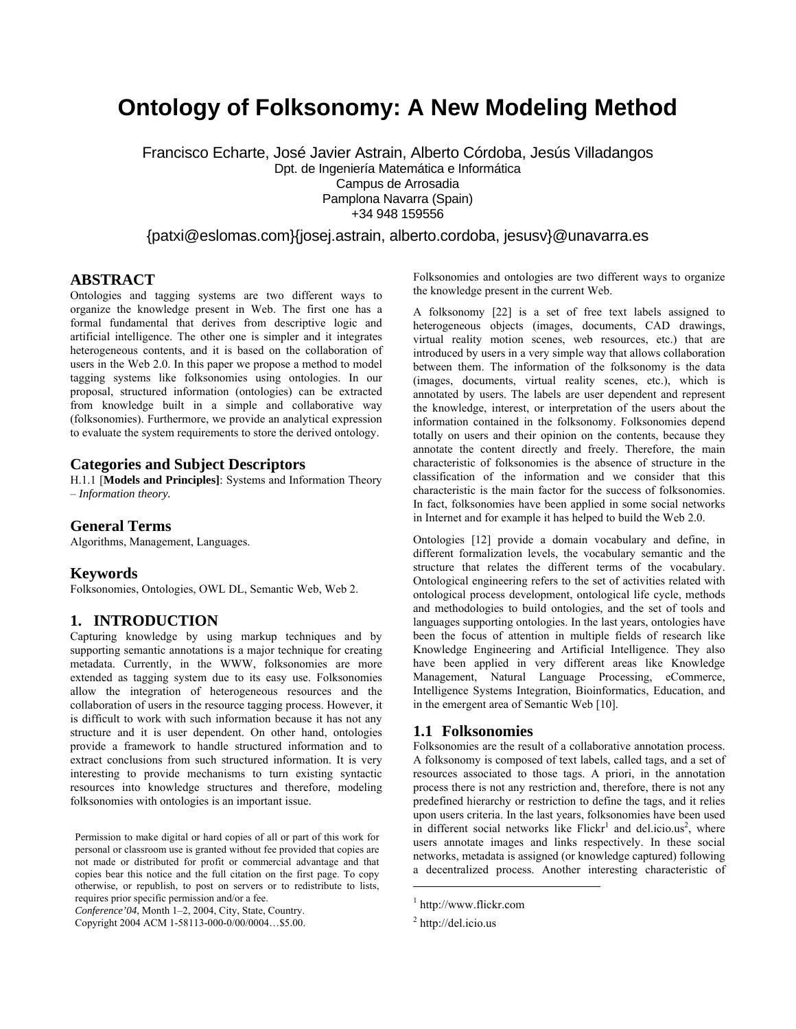# **Ontology of Folksonomy: A New Modeling Method**

Francisco Echarte, José Javier Astrain, Alberto Córdoba, Jesús Villadangos Dpt. de Ingeniería Matemática e Informática Campus de Arrosadia Pamplona Navarra (Spain) +34 948 159556

{patxi@eslomas.com}{josej.astrain, alberto.cordoba, jesusv}@unavarra.es

## **ABSTRACT**

Ontologies and tagging systems are two different ways to organize the knowledge present in Web. The first one has a formal fundamental that derives from descriptive logic and artificial intelligence. The other one is simpler and it integrates heterogeneous contents, and it is based on the collaboration of users in the Web 2.0. In this paper we propose a method to model tagging systems like folksonomies using ontologies. In our proposal, structured information (ontologies) can be extracted from knowledge built in a simple and collaborative way (folksonomies). Furthermore, we provide an analytical expression to evaluate the system requirements to store the derived ontology.

### **Categories and Subject Descriptors**

H.1.1 [**Models and Principles]**: Systems and Information Theory – *Information theory.* 

### **General Terms**

Algorithms, Management, Languages.

### **Keywords**

Folksonomies, Ontologies, OWL DL, Semantic Web, Web 2.

## **1. INTRODUCTION**

Capturing knowledge by using markup techniques and by supporting semantic annotations is a major technique for creating metadata. Currently, in the WWW, folksonomies are more extended as tagging system due to its easy use. Folksonomies allow the integration of heterogeneous resources and the collaboration of users in the resource tagging process. However, it is difficult to work with such information because it has not any structure and it is user dependent. On other hand, ontologies provide a framework to handle structured information and to extract conclusions from such structured information. It is very interesting to provide mechanisms to turn existing syntactic resources into knowledge structures and therefore, modeling folksonomies with ontologies is an important issue.

*Conference'04*, Month 1–2, 2004, City, State, Country.

Folksonomies and ontologies are two different ways to organize the knowledge present in the current Web.

A folksonomy [22] is a set of free text labels assigned to heterogeneous objects (images, documents, CAD drawings, virtual reality motion scenes, web resources, etc.) that are introduced by users in a very simple way that allows collaboration between them. The information of the folksonomy is the data (images, documents, virtual reality scenes, etc.), which is annotated by users. The labels are user dependent and represent the knowledge, interest, or interpretation of the users about the information contained in the folksonomy. Folksonomies depend totally on users and their opinion on the contents, because they annotate the content directly and freely. Therefore, the main characteristic of folksonomies is the absence of structure in the classification of the information and we consider that this characteristic is the main factor for the success of folksonomies. In fact, folksonomies have been applied in some social networks in Internet and for example it has helped to build the Web 2.0.

Ontologies [12] provide a domain vocabulary and define, in different formalization levels, the vocabulary semantic and the structure that relates the different terms of the vocabulary. Ontological engineering refers to the set of activities related with ontological process development, ontological life cycle, methods and methodologies to build ontologies, and the set of tools and languages supporting ontologies. In the last years, ontologies have been the focus of attention in multiple fields of research like Knowledge Engineering and Artificial Intelligence. They also have been applied in very different areas like Knowledge Management, Natural Language Processing, eCommerce, Intelligence Systems Integration, Bioinformatics, Education, and in the emergent area of Semantic Web [10].

#### **1.1 Folksonomies**

Folksonomies are the result of a collaborative annotation process. A folksonomy is composed of text labels, called tags, and a set of resources associated to those tags. A priori, in the annotation process there is not any restriction and, therefore, there is not any predefined hierarchy or restriction to define the tags, and it relies upon users criteria. In the last years, folksonomies have been used in different social networks like  $Flickr^1$  and del.icio.us<sup>2</sup>, where users annotate images and links respectively. In these social networks, metadata is assigned (or knowledge captured) following a decentralized process. Another interesting characteristic of

 $\overline{a}$ 

Permission to make digital or hard copies of all or part of this work for personal or classroom use is granted without fee provided that copies are not made or distributed for profit or commercial advantage and that copies bear this notice and the full citation on the first page. To copy otherwise, or republish, to post on servers or to redistribute to lists, requires prior specific permission and/or a fee.

Copyright 2004 ACM 1-58113-000-0/00/0004…\$5.00.

<sup>1</sup> http://www.flickr.com

 $2$  http://del.icio.us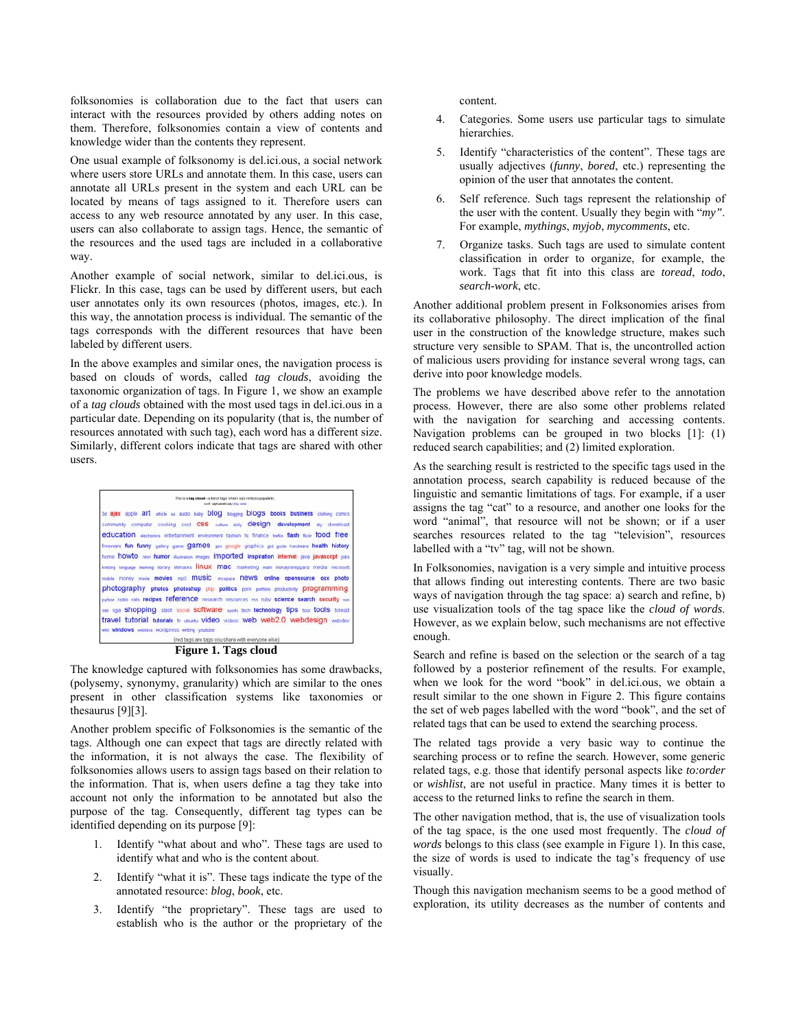folksonomies is collaboration due to the fact that users can interact with the resources provided by others adding notes on them. Therefore, folksonomies contain a view of contents and knowledge wider than the contents they represent.

One usual example of folksonomy is del.ici.ous, a social network where users store URLs and annotate them. In this case, users can annotate all URLs present in the system and each URL can be located by means of tags assigned to it. Therefore users can access to any web resource annotated by any user. In this case, users can also collaborate to assign tags. Hence, the semantic of the resources and the used tags are included in a collaborative way.

Another example of social network, similar to del.ici.ous, is Flickr. In this case, tags can be used by different users, but each user annotates only its own resources (photos, images, etc.). In this way, the annotation process is individual. The semantic of the tags corresponds with the different resources that have been labeled by different users.

In the above examples and similar ones, the navigation process is based on clouds of words, called *tag clouds*, avoiding the taxonomic organization of tags. In Figure 1, we show an example of a *tag clouds* obtained with the most used tags in del.ici.ous in a particular date. Depending on its popularity (that is, the number of resources annotated with such tag), each word has a different size. Similarly, different colors indicate that tags are shared with other users.



**Figure 1. Tags cloud** 

The knowledge captured with folksonomies has some drawbacks, (polysemy, synonymy, granularity) which are similar to the ones present in other classification systems like taxonomies or thesaurus [9][3].

Another problem specific of Folksonomies is the semantic of the tags. Although one can expect that tags are directly related with the information, it is not always the case. The flexibility of folksonomies allows users to assign tags based on their relation to the information. That is, when users define a tag they take into account not only the information to be annotated but also the purpose of the tag. Consequently, different tag types can be identified depending on its purpose [9]:

- 1. Identify "what about and who". These tags are used to identify what and who is the content about.
- 2. Identify "what it is". These tags indicate the type of the annotated resource: *blog*, *book*, etc.
- 3. Identify "the proprietary". These tags are used to establish who is the author or the proprietary of the

content.

- 4. Categories. Some users use particular tags to simulate hierarchies.
- 5. Identify "characteristics of the content". These tags are usually adjectives (*funny*, *bored*, etc.) representing the opinion of the user that annotates the content.
- Self reference. Such tags represent the relationship of the user with the content. Usually they begin with "*my"*. For example, *mythings*, *myjob*, *mycomments*, etc.
- 7. Organize tasks. Such tags are used to simulate content classification in order to organize, for example, the work. Tags that fit into this class are *toread*, *todo*, *search-work*, etc.

Another additional problem present in Folksonomies arises from its collaborative philosophy. The direct implication of the final user in the construction of the knowledge structure, makes such structure very sensible to SPAM. That is, the uncontrolled action of malicious users providing for instance several wrong tags, can derive into poor knowledge models.

The problems we have described above refer to the annotation process. However, there are also some other problems related with the navigation for searching and accessing contents. Navigation problems can be grouped in two blocks [1]: (1) reduced search capabilities; and (2) limited exploration.

As the searching result is restricted to the specific tags used in the annotation process, search capability is reduced because of the linguistic and semantic limitations of tags. For example, if a user assigns the tag "cat" to a resource, and another one looks for the word "animal", that resource will not be shown; or if a user searches resources related to the tag "television", resources labelled with a "tv" tag, will not be shown.

In Folksonomies, navigation is a very simple and intuitive process that allows finding out interesting contents. There are two basic ways of navigation through the tag space: a) search and refine, b) use visualization tools of the tag space like the *cloud of words*. However, as we explain below, such mechanisms are not effective enough.

Search and refine is based on the selection or the search of a tag followed by a posterior refinement of the results. For example, when we look for the word "book" in del.ici.ous, we obtain a result similar to the one shown in Figure 2. This figure contains the set of web pages labelled with the word "book", and the set of related tags that can be used to extend the searching process.

The related tags provide a very basic way to continue the searching process or to refine the search. However, some generic related tags, e.g. those that identify personal aspects like *to:order* or *wishlist*, are not useful in practice. Many times it is better to access to the returned links to refine the search in them.

The other navigation method, that is, the use of visualization tools of the tag space, is the one used most frequently. The *cloud of words* belongs to this class (see example in Figure 1). In this case, the size of words is used to indicate the tag's frequency of use visually.

Though this navigation mechanism seems to be a good method of exploration, its utility decreases as the number of contents and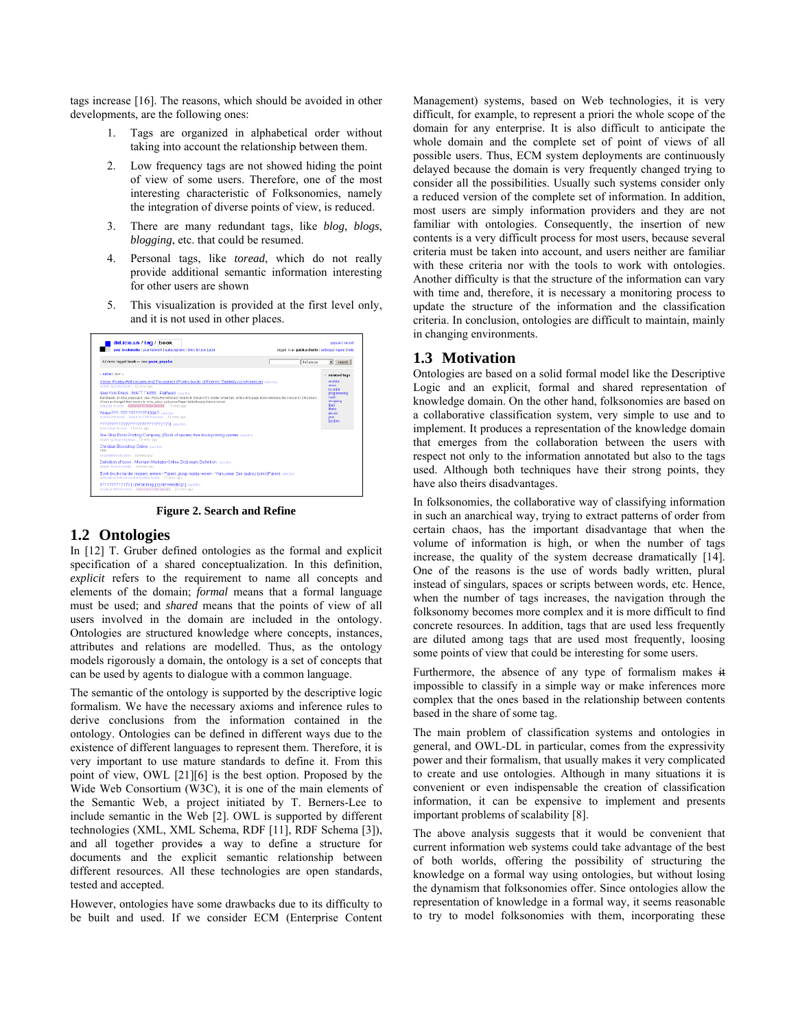tags increase [16]. The reasons, which should be avoided in other developments, are the following ones:

- 1. Tags are organized in alphabetical order without taking into account the relationship between them.
- 2. Low frequency tags are not showed hiding the point of view of some users. Therefore, one of the most interesting characteristic of Folksonomies, namely the integration of diverse points of view, is reduced.
- 3. There are many redundant tags, like *blog*, *blogs*, *blogging*, etc. that could be resumed.
- 4. Personal tags, like *toread*, which do not really provide additional semantic information interesting for other users are shown
- 5. This visualization is provided at the first level only, and it is not used in other places.



**Figure 2. Search and Refine** 

# **1.2 Ontologies**

In [12] T. Gruber defined ontologies as the formal and explicit specification of a shared conceptualization. In this definition, *explicit* refers to the requirement to name all concepts and elements of the domain; *formal* means that a formal language must be used; and *shared* means that the points of view of all users involved in the domain are included in the ontology. Ontologies are structured knowledge where concepts, instances, attributes and relations are modelled. Thus, as the ontology models rigorously a domain, the ontology is a set of concepts that can be used by agents to dialogue with a common language.

The semantic of the ontology is supported by the descriptive logic formalism. We have the necessary axioms and inference rules to derive conclusions from the information contained in the ontology. Ontologies can be defined in different ways due to the existence of different languages to represent them. Therefore, it is very important to use mature standards to define it. From this point of view, OWL [21][6] is the best option. Proposed by the Wide Web Consortium (W3C), it is one of the main elements of the Semantic Web, a project initiated by T. Berners-Lee to include semantic in the Web [2]. OWL is supported by different technologies (XML, XML Schema, RDF [11], RDF Schema [3]), and all together provides a way to define a structure for documents and the explicit semantic relationship between different resources. All these technologies are open standards, tested and accepted.

However, ontologies have some drawbacks due to its difficulty to be built and used. If we consider ECM (Enterprise Content Management) systems, based on Web technologies, it is very difficult, for example, to represent a priori the whole scope of the domain for any enterprise. It is also difficult to anticipate the whole domain and the complete set of point of views of all possible users. Thus, ECM system deployments are continuously delayed because the domain is very frequently changed trying to consider all the possibilities. Usually such systems consider only a reduced version of the complete set of information. In addition, most users are simply information providers and they are not familiar with ontologies. Consequently, the insertion of new contents is a very difficult process for most users, because several criteria must be taken into account, and users neither are familiar with these criteria nor with the tools to work with ontologies. Another difficulty is that the structure of the information can vary with time and, therefore, it is necessary a monitoring process to update the structure of the information and the classification criteria. In conclusion, ontologies are difficult to maintain, mainly in changing environments.

## **1.3 Motivation**

Ontologies are based on a solid formal model like the Descriptive Logic and an explicit, formal and shared representation of knowledge domain. On the other hand, folksonomies are based on a collaborative classification system, very simple to use and to implement. It produces a representation of the knowledge domain that emerges from the collaboration between the users with respect not only to the information annotated but also to the tags used. Although both techniques have their strong points, they have also theirs disadvantages.

In folksonomies, the collaborative way of classifying information in such an anarchical way, trying to extract patterns of order from certain chaos, has the important disadvantage that when the volume of information is high, or when the number of tags increase, the quality of the system decrease dramatically [14]. One of the reasons is the use of words badly written, plural instead of singulars, spaces or scripts between words, etc. Hence, when the number of tags increases, the navigation through the folksonomy becomes more complex and it is more difficult to find concrete resources. In addition, tags that are used less frequently are diluted among tags that are used most frequently, loosing some points of view that could be interesting for some users.

Furthermore, the absence of any type of formalism makes it impossible to classify in a simple way or make inferences more complex that the ones based in the relationship between contents based in the share of some tag.

The main problem of classification systems and ontologies in general, and OWL-DL in particular, comes from the expressivity power and their formalism, that usually makes it very complicated to create and use ontologies. Although in many situations it is convenient or even indispensable the creation of classification information, it can be expensive to implement and presents important problems of scalability [8].

The above analysis suggests that it would be convenient that current information web systems could take advantage of the best of both worlds, offering the possibility of structuring the knowledge on a formal way using ontologies, but without losing the dynamism that folksonomies offer. Since ontologies allow the representation of knowledge in a formal way, it seems reasonable to try to model folksonomies with them, incorporating these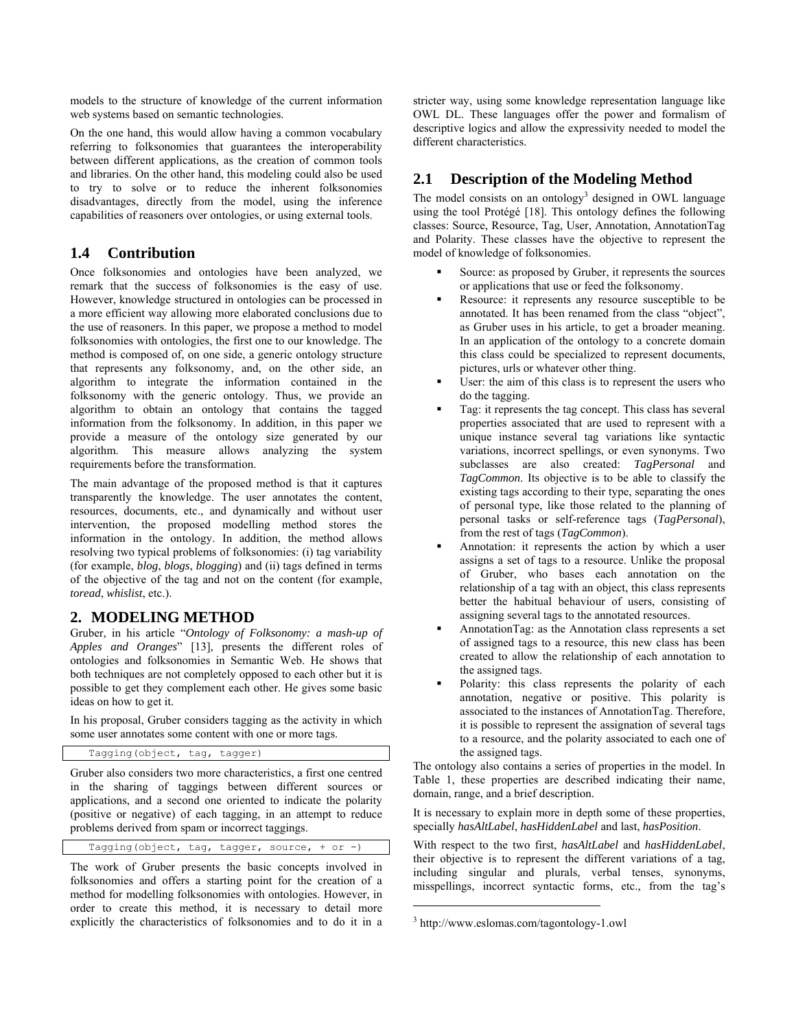models to the structure of knowledge of the current information web systems based on semantic technologies.

On the one hand, this would allow having a common vocabulary referring to folksonomies that guarantees the interoperability between different applications, as the creation of common tools and libraries. On the other hand, this modeling could also be used to try to solve or to reduce the inherent folksonomies disadvantages, directly from the model, using the inference capabilities of reasoners over ontologies, or using external tools.

# **1.4 Contribution**

Once folksonomies and ontologies have been analyzed, we remark that the success of folksonomies is the easy of use. However, knowledge structured in ontologies can be processed in a more efficient way allowing more elaborated conclusions due to the use of reasoners. In this paper, we propose a method to model folksonomies with ontologies, the first one to our knowledge. The method is composed of, on one side, a generic ontology structure that represents any folksonomy, and, on the other side, an algorithm to integrate the information contained in the folksonomy with the generic ontology. Thus, we provide an algorithm to obtain an ontology that contains the tagged information from the folksonomy. In addition, in this paper we provide a measure of the ontology size generated by our algorithm. This measure allows analyzing the system requirements before the transformation.

The main advantage of the proposed method is that it captures transparently the knowledge. The user annotates the content, resources, documents, etc., and dynamically and without user intervention, the proposed modelling method stores the information in the ontology. In addition, the method allows resolving two typical problems of folksonomies: (i) tag variability (for example, *blog*, *blogs*, *blogging*) and (ii) tags defined in terms of the objective of the tag and not on the content (for example, *toread*, *whislist*, etc.).

# **2. MODELING METHOD**

Gruber, in his article "*Ontology of Folksonomy: a mash-up of Apples and Oranges*" [13], presents the different roles of ontologies and folksonomies in Semantic Web. He shows that both techniques are not completely opposed to each other but it is possible to get they complement each other. He gives some basic ideas on how to get it.

In his proposal, Gruber considers tagging as the activity in which some user annotates some content with one or more tags.

```
Tagging(object, tag, tagger)
```
Gruber also considers two more characteristics, a first one centred in the sharing of taggings between different sources or applications, and a second one oriented to indicate the polarity (positive or negative) of each tagging, in an attempt to reduce problems derived from spam or incorrect taggings.

Tagging(object, tag, tagger, source, + or -)

The work of Gruber presents the basic concepts involved in folksonomies and offers a starting point for the creation of a method for modelling folksonomies with ontologies. However, in order to create this method, it is necessary to detail more explicitly the characteristics of folksonomies and to do it in a stricter way, using some knowledge representation language like OWL DL. These languages offer the power and formalism of descriptive logics and allow the expressivity needed to model the different characteristics.

# **2.1 Description of the Modeling Method**

The model consists on an ontology<sup>3</sup> designed in OWL language using the tool Protégé [18]. This ontology defines the following classes: Source, Resource, Tag, User, Annotation, AnnotationTag and Polarity. These classes have the objective to represent the model of knowledge of folksonomies.

- Source: as proposed by Gruber, it represents the sources or applications that use or feed the folksonomy.
- Resource: it represents any resource susceptible to be annotated. It has been renamed from the class "object", as Gruber uses in his article, to get a broader meaning. In an application of the ontology to a concrete domain this class could be specialized to represent documents, pictures, urls or whatever other thing.
- User: the aim of this class is to represent the users who do the tagging.
- Tag: it represents the tag concept. This class has several properties associated that are used to represent with a unique instance several tag variations like syntactic variations, incorrect spellings, or even synonyms. Two subclasses are also created: *TagPersonal* and *TagCommon*. Its objective is to be able to classify the existing tags according to their type, separating the ones of personal type, like those related to the planning of personal tasks or self-reference tags (*TagPersonal*), from the rest of tags (*TagCommon*).
- Annotation: it represents the action by which a user assigns a set of tags to a resource. Unlike the proposal of Gruber, who bases each annotation on the relationship of a tag with an object, this class represents better the habitual behaviour of users, consisting of assigning several tags to the annotated resources.
- AnnotationTag: as the Annotation class represents a set of assigned tags to a resource, this new class has been created to allow the relationship of each annotation to the assigned tags.
- Polarity: this class represents the polarity of each annotation, negative or positive. This polarity is associated to the instances of AnnotationTag. Therefore, it is possible to represent the assignation of several tags to a resource, and the polarity associated to each one of the assigned tags.

The ontology also contains a series of properties in the model. In Table 1, these properties are described indicating their name, domain, range, and a brief description.

It is necessary to explain more in depth some of these properties, specially *hasAltLabel*, *hasHiddenLabel* and last, *hasPosition*.

With respect to the two first, *hasAltLabel* and *hasHiddenLabel*, their objective is to represent the different variations of a tag, including singular and plurals, verbal tenses, synonyms, misspellings, incorrect syntactic forms, etc., from the tag's

 $\overline{a}$ 

<sup>3</sup> http://www.eslomas.com/tagontology-1.owl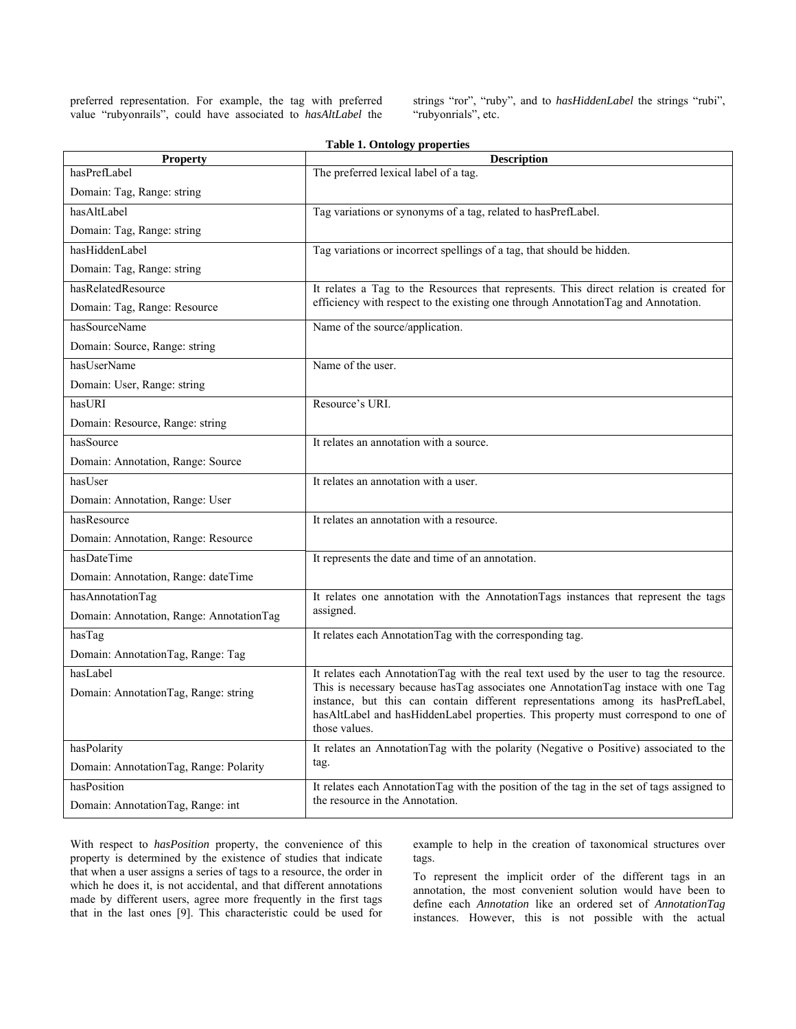preferred representation. For example, the tag with preferred value "rubyonrails", could have associated to *hasAltLabel* the strings "ror", "ruby", and to *hasHiddenLabel* the strings "rubi", "rubyonrials", etc.

| <b>Property</b>                          | <b>Description</b>                                                                                                                                                                                                                                             |
|------------------------------------------|----------------------------------------------------------------------------------------------------------------------------------------------------------------------------------------------------------------------------------------------------------------|
| hasPrefLabel                             | The preferred lexical label of a tag.                                                                                                                                                                                                                          |
| Domain: Tag, Range: string               |                                                                                                                                                                                                                                                                |
| hasAltLabel                              | Tag variations or synonyms of a tag, related to hasPrefLabel.                                                                                                                                                                                                  |
| Domain: Tag, Range: string               |                                                                                                                                                                                                                                                                |
| hasHiddenLabel                           | Tag variations or incorrect spellings of a tag, that should be hidden.                                                                                                                                                                                         |
| Domain: Tag, Range: string               |                                                                                                                                                                                                                                                                |
| hasRelatedResource                       | It relates a Tag to the Resources that represents. This direct relation is created for                                                                                                                                                                         |
| Domain: Tag, Range: Resource             | efficiency with respect to the existing one through AnnotationTag and Annotation.                                                                                                                                                                              |
| hasSourceName                            | Name of the source/application.                                                                                                                                                                                                                                |
| Domain: Source, Range: string            |                                                                                                                                                                                                                                                                |
| hasUserName                              | Name of the user.                                                                                                                                                                                                                                              |
| Domain: User, Range: string              |                                                                                                                                                                                                                                                                |
| hasURI                                   | Resource's URI.                                                                                                                                                                                                                                                |
| Domain: Resource, Range: string          |                                                                                                                                                                                                                                                                |
| hasSource                                | It relates an annotation with a source.                                                                                                                                                                                                                        |
| Domain: Annotation, Range: Source        |                                                                                                                                                                                                                                                                |
| hasUser                                  | It relates an annotation with a user.                                                                                                                                                                                                                          |
| Domain: Annotation, Range: User          |                                                                                                                                                                                                                                                                |
| hasResource                              | It relates an annotation with a resource.                                                                                                                                                                                                                      |
| Domain: Annotation, Range: Resource      |                                                                                                                                                                                                                                                                |
| hasDateTime                              | It represents the date and time of an annotation.                                                                                                                                                                                                              |
| Domain: Annotation, Range: dateTime      |                                                                                                                                                                                                                                                                |
| hasAnnotationTag                         | It relates one annotation with the AnnotationTags instances that represent the tags                                                                                                                                                                            |
| Domain: Annotation, Range: AnnotationTag | assigned.                                                                                                                                                                                                                                                      |
| hasTag                                   | It relates each Annotation Tag with the corresponding tag.                                                                                                                                                                                                     |
| Domain: AnnotationTag, Range: Tag        |                                                                                                                                                                                                                                                                |
| hasLabel                                 | It relates each AnnotationTag with the real text used by the user to tag the resource.                                                                                                                                                                         |
| Domain: AnnotationTag, Range: string     | This is necessary because has Tag associates one Annotation Tag instace with one Tag<br>instance, but this can contain different representations among its hasPrefLabel,<br>hasAltLabel and hasHiddenLabel properties. This property must correspond to one of |
|                                          | those values.                                                                                                                                                                                                                                                  |
| hasPolarity                              | It relates an AnnotationTag with the polarity (Negative o Positive) associated to the                                                                                                                                                                          |
| Domain: AnnotationTag, Range: Polarity   | tag.                                                                                                                                                                                                                                                           |
| hasPosition                              | It relates each Annotation Tag with the position of the tag in the set of tags assigned to                                                                                                                                                                     |
| Domain: AnnotationTag, Range: int        | the resource in the Annotation.                                                                                                                                                                                                                                |

**Table 1. Ontology properties** 

With respect to *hasPosition* property, the convenience of this property is determined by the existence of studies that indicate that when a user assigns a series of tags to a resource, the order in which he does it, is not accidental, and that different annotations made by different users, agree more frequently in the first tags that in the last ones [9]. This characteristic could be used for example to help in the creation of taxonomical structures over tags.

To represent the implicit order of the different tags in an annotation, the most convenient solution would have been to define each *Annotation* like an ordered set of *AnnotationTag* instances. However, this is not possible with the actual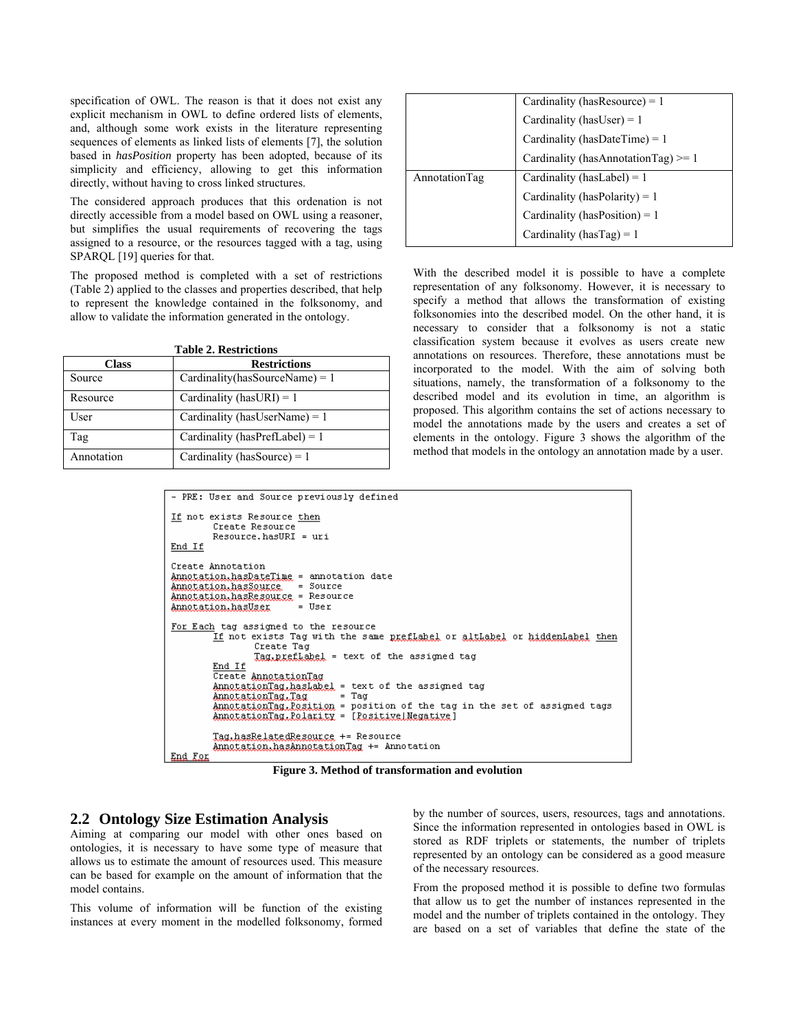specification of OWL. The reason is that it does not exist any explicit mechanism in OWL to define ordered lists of elements, and, although some work exists in the literature representing sequences of elements as linked lists of elements [7], the solution based in *hasPosition* property has been adopted, because of its simplicity and efficiency, allowing to get this information directly, without having to cross linked structures.

The considered approach produces that this ordenation is not directly accessible from a model based on OWL using a reasoner, but simplifies the usual requirements of recovering the tags assigned to a resource, or the resources tagged with a tag, using SPARQL [19] queries for that.

The proposed method is completed with a set of restrictions (Table 2) applied to the classes and properties described, that help to represent the knowledge contained in the folksonomy, and allow to validate the information generated in the ontology.

| <b>Table 2. Restrictions</b>        |                                   |  |
|-------------------------------------|-----------------------------------|--|
| <b>Restrictions</b><br><b>Class</b> |                                   |  |
| Source                              | Cardinality(hasSourceName) = $1$  |  |
| Resource                            | Cardinality (has URI) = 1         |  |
| User                                | Cardinality (has User Name) = $1$ |  |
| Tag                                 | Cardinality (hasPrefLabel) = $1$  |  |
| Annotation                          | Cardinality (has Source) = $1$    |  |

|               | Cardinality (has Resource) = $1$    |  |
|---------------|-------------------------------------|--|
|               | Cardinality (has User) = $1$        |  |
|               | Cardinality (hasDateTime) = $1$     |  |
|               | Cardinality (hasAnnotationTag) >= 1 |  |
| AnnotationTag | Cardinality (has Label) = $1$       |  |
|               | Cardinality (hasPolarity) = $1$     |  |
|               | Cardinality (hasPosition) = $1$     |  |
|               | Cardinality (has Tag) = 1           |  |

With the described model it is possible to have a complete representation of any folksonomy. However, it is necessary to specify a method that allows the transformation of existing folksonomies into the described model. On the other hand, it is necessary to consider that a folksonomy is not a static classification system because it evolves as users create new annotations on resources. Therefore, these annotations must be incorporated to the model. With the aim of solving both situations, namely, the transformation of a folksonomy to the described model and its evolution in time, an algorithm is proposed. This algorithm contains the set of actions necessary to model the annotations made by the users and creates a set of elements in the ontology. Figure 3 shows the algorithm of the method that models in the ontology an annotation made by a user.

| - PRE: User and Source previously defined                                                                                                                                                                                                                                                                                                                                                                                    |
|------------------------------------------------------------------------------------------------------------------------------------------------------------------------------------------------------------------------------------------------------------------------------------------------------------------------------------------------------------------------------------------------------------------------------|
| If not exists Resource then<br>Create Resource<br>$Resource. has URI = uri$<br>End If                                                                                                                                                                                                                                                                                                                                        |
| Create Annotation<br>Annotation.hasDateTime = annotation date<br>Annotation.hasSource = Source<br>Annotation.hasResource = Resource<br>Annotation.hasUser = User                                                                                                                                                                                                                                                             |
| For Each tag assigned to the resource<br>If not exists Tag with the same preflabel or altLabel or hiddenLabel then<br>Create Tag<br>Tag, prefLabel = text of the assigned tag<br>End If<br>Create AnnotationTag<br>AnnotationTag, hasLabel = text of the assigned tag<br>AnnotationTag,Tag = Tag<br>AnnotationTag,Position = position of the tag in the set of assigned tags<br>AnnotationTag,Polarity = [Positive]Negative] |
| Tag, hasRelatedResource += Resource<br>Annotation.hasAnnotationTag += Annotation<br>End For                                                                                                                                                                                                                                                                                                                                  |

**Figure 3. Method of transformation and evolution** 

### **2.2 Ontology Size Estimation Analysis**

Aiming at comparing our model with other ones based on ontologies, it is necessary to have some type of measure that allows us to estimate the amount of resources used. This measure can be based for example on the amount of information that the model contains.

This volume of information will be function of the existing instances at every moment in the modelled folksonomy, formed by the number of sources, users, resources, tags and annotations. Since the information represented in ontologies based in OWL is stored as RDF triplets or statements, the number of triplets represented by an ontology can be considered as a good measure of the necessary resources.

From the proposed method it is possible to define two formulas that allow us to get the number of instances represented in the model and the number of triplets contained in the ontology. They are based on a set of variables that define the state of the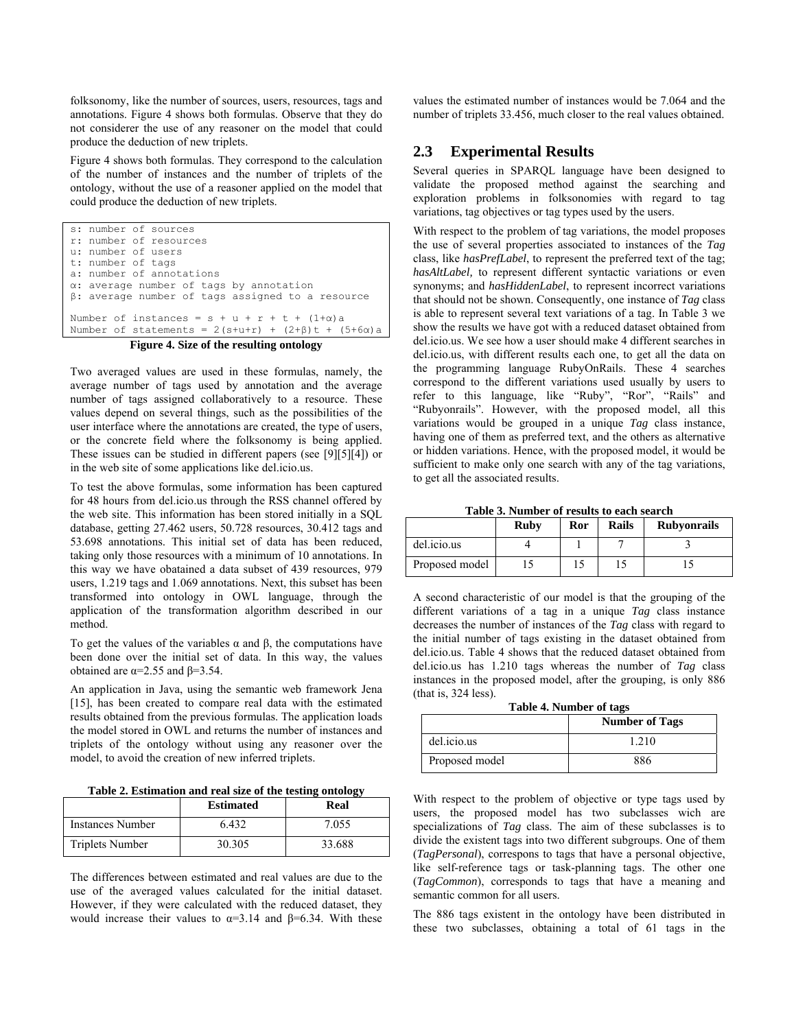folksonomy, like the number of sources, users, resources, tags and annotations. Figure 4 shows both formulas. Observe that they do not considerer the use of any reasoner on the model that could produce the deduction of new triplets.

Figure 4 shows both formulas. They correspond to the calculation of the number of instances and the number of triplets of the ontology, without the use of a reasoner applied on the model that could produce the deduction of new triplets.

```
s: number of sources 
r: number of resources 
u: number of users 
t: number of tags 
a: number of annotations 
α: average number of tags by annotation 
β: average number of tags assigned to a resource 
Number of instances = s + u + r + t + (1+\alpha)a
Number of statements = 2(s+u+r) + (2+\beta)t + (5+6α)a
```
### **Figure 4. Size of the resulting ontology**

Two averaged values are used in these formulas, namely, the average number of tags used by annotation and the average number of tags assigned collaboratively to a resource. These values depend on several things, such as the possibilities of the user interface where the annotations are created, the type of users, or the concrete field where the folksonomy is being applied. These issues can be studied in different papers (see [9][5][4]) or in the web site of some applications like del.icio.us.

To test the above formulas, some information has been captured for 48 hours from del.icio.us through the RSS channel offered by the web site. This information has been stored initially in a SQL database, getting 27.462 users, 50.728 resources, 30.412 tags and 53.698 annotations. This initial set of data has been reduced, taking only those resources with a minimum of 10 annotations. In this way we have obatained a data subset of 439 resources, 979 users, 1.219 tags and 1.069 annotations. Next, this subset has been transformed into ontology in OWL language, through the application of the transformation algorithm described in our method.

To get the values of the variables α and β, the computations have been done over the initial set of data. In this way, the values obtained are  $α=2.55$  and  $β=3.54$ .

An application in Java, using the semantic web framework Jena [15], has been created to compare real data with the estimated results obtained from the previous formulas. The application loads the model stored in OWL and returns the number of instances and triplets of the ontology without using any reasoner over the model, to avoid the creation of new inferred triplets.

**Table 2. Estimation and real size of the testing ontology** 

|                         | <b>Estimated</b> | Real   |
|-------------------------|------------------|--------|
| <b>Instances Number</b> | 6.432            | 7.055  |
| <b>Triplets Number</b>  | 30.305           | 33.688 |

The differences between estimated and real values are due to the use of the averaged values calculated for the initial dataset. However, if they were calculated with the reduced dataset, they would increase their values to  $\alpha=3.14$  and  $\beta=6.34$ . With these values the estimated number of instances would be 7.064 and the number of triplets 33.456, much closer to the real values obtained.

# **2.3 Experimental Results**

Several queries in SPARQL language have been designed to validate the proposed method against the searching and exploration problems in folksonomies with regard to tag variations, tag objectives or tag types used by the users.

With respect to the problem of tag variations, the model proposes the use of several properties associated to instances of the *Tag* class, like *hasPrefLabel*, to represent the preferred text of the tag; *hasAltLabel,* to represent different syntactic variations or even synonyms; and *hasHiddenLabel*, to represent incorrect variations that should not be shown. Consequently, one instance of *Tag* class is able to represent several text variations of a tag. In Table 3 we show the results we have got with a reduced dataset obtained from del.icio.us. We see how a user should make 4 different searches in del.icio.us, with different results each one, to get all the data on the programming language RubyOnRails. These 4 searches correspond to the different variations used usually by users to refer to this language, like "Ruby", "Ror", "Rails" and "Rubyonrails". However, with the proposed model, all this variations would be grouped in a unique *Tag* class instance, having one of them as preferred text, and the others as alternative or hidden variations. Hence, with the proposed model, it would be sufficient to make only one search with any of the tag variations, to get all the associated results.

**Table 3. Number of results to each search** 

|                | Ruby | Ror | <b>Rails</b> | <b>Rubyonrails</b> |
|----------------|------|-----|--------------|--------------------|
| del.icio.us    |      |     |              |                    |
| Proposed model |      |     |              |                    |

A second characteristic of our model is that the grouping of the different variations of a tag in a unique *Tag* class instance decreases the number of instances of the *Tag* class with regard to the initial number of tags existing in the dataset obtained from del.icio.us. Table 4 shows that the reduced dataset obtained from del.icio.us has 1.210 tags whereas the number of *Tag* class instances in the proposed model, after the grouping, is only 886 (that is, 324 less).

**Table 4. Number of tags** 

|                | <b>Number of Tags</b> |
|----------------|-----------------------|
| del.icio.us    | 210                   |
| Proposed model | 886                   |

With respect to the problem of objective or type tags used by users, the proposed model has two subclasses wich are specializations of *Tag* class. The aim of these subclasses is to divide the existent tags into two different subgroups. One of them (*TagPersonal*), correspons to tags that have a personal objective, like self-reference tags or task-planning tags. The other one (*TagCommon*), corresponds to tags that have a meaning and semantic common for all users.

The 886 tags existent in the ontology have been distributed in these two subclasses, obtaining a total of 61 tags in the